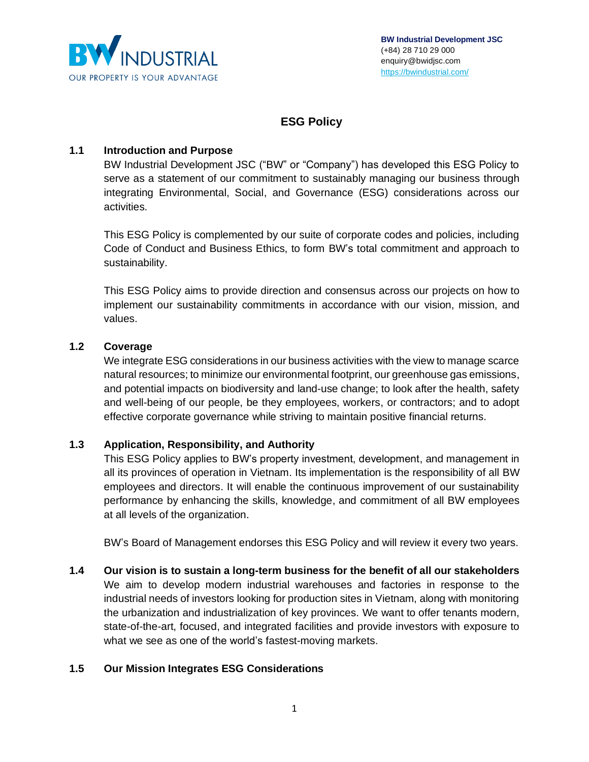

# **ESG Policy**

# **1.1 Introduction and Purpose**

BW Industrial Development JSC ("BW" or "Company") has developed this ESG Policy to serve as a statement of our commitment to sustainably managing our business through integrating Environmental, Social, and Governance (ESG) considerations across our activities.

This ESG Policy is complemented by our suite of corporate codes and policies, including Code of Conduct and Business Ethics, to form BW's total commitment and approach to sustainability.

This ESG Policy aims to provide direction and consensus across our projects on how to implement our sustainability commitments in accordance with our vision, mission, and values.

# **1.2 Coverage**

We integrate ESG considerations in our business activities with the view to manage scarce natural resources; to minimize our environmental footprint, our greenhouse gas emissions, and potential impacts on biodiversity and land-use change; to look after the health, safety and well-being of our people, be they employees, workers, or contractors; and to adopt effective corporate governance while striving to maintain positive financial returns.

# **1.3 Application, Responsibility, and Authority**

This ESG Policy applies to BW's property investment, development, and management in all its provinces of operation in Vietnam. Its implementation is the responsibility of all BW employees and directors. It will enable the continuous improvement of our sustainability performance by enhancing the skills, knowledge, and commitment of all BW employees at all levels of the organization.

BW's Board of Management endorses this ESG Policy and will review it every two years.

**1.4 Our vision is to sustain a long-term business for the benefit of all our stakeholders** We aim to develop modern industrial warehouses and factories in response to the industrial needs of investors looking for production sites in Vietnam, along with monitoring the urbanization and industrialization of key provinces. We want to offer tenants modern, state-of-the-art, focused, and integrated facilities and provide investors with exposure to what we see as one of the world's fastest-moving markets.

# **1.5 Our Mission Integrates ESG Considerations**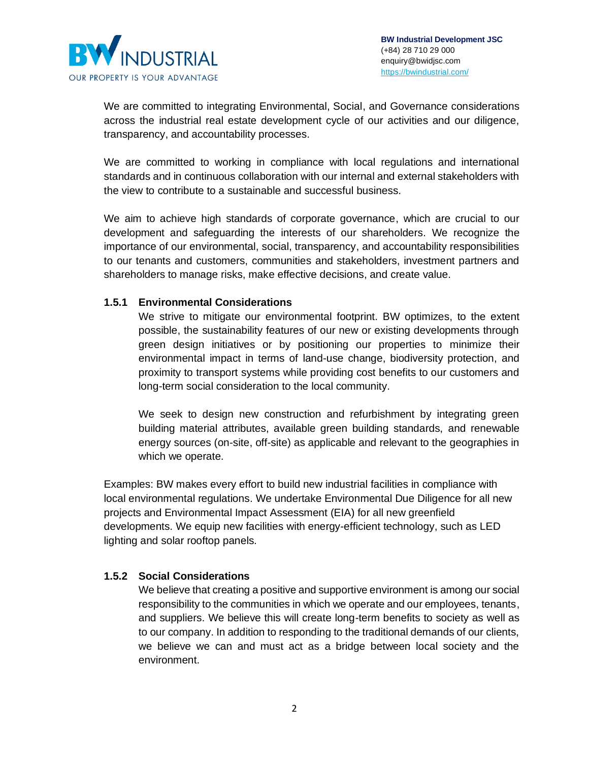

We are committed to integrating Environmental, Social, and Governance considerations across the industrial real estate development cycle of our activities and our diligence, transparency, and accountability processes.

We are committed to working in compliance with local regulations and international standards and in continuous collaboration with our internal and external stakeholders with the view to contribute to a sustainable and successful business.

We aim to achieve high standards of corporate governance, which are crucial to our development and safeguarding the interests of our shareholders. We recognize the importance of our environmental, social, transparency, and accountability responsibilities to our tenants and customers, communities and stakeholders, investment partners and shareholders to manage risks, make effective decisions, and create value.

#### **1.5.1 Environmental Considerations**

We strive to mitigate our environmental footprint. BW optimizes, to the extent possible, the sustainability features of our new or existing developments through green design initiatives or by positioning our properties to minimize their environmental impact in terms of land-use change, biodiversity protection, and proximity to transport systems while providing cost benefits to our customers and long-term social consideration to the local community.

We seek to design new construction and refurbishment by integrating green building material attributes, available green building standards, and renewable energy sources (on-site, off-site) as applicable and relevant to the geographies in which we operate.

Examples: BW makes every effort to build new industrial facilities in compliance with local environmental regulations. We undertake Environmental Due Diligence for all new projects and Environmental Impact Assessment (EIA) for all new greenfield developments. We equip new facilities with energy-efficient technology, such as LED lighting and solar rooftop panels.

# **1.5.2 Social Considerations**

We believe that creating a positive and supportive environment is among our social responsibility to the communities in which we operate and our employees, tenants, and suppliers. We believe this will create long-term benefits to society as well as to our company. In addition to responding to the traditional demands of our clients, we believe we can and must act as a bridge between local society and the environment.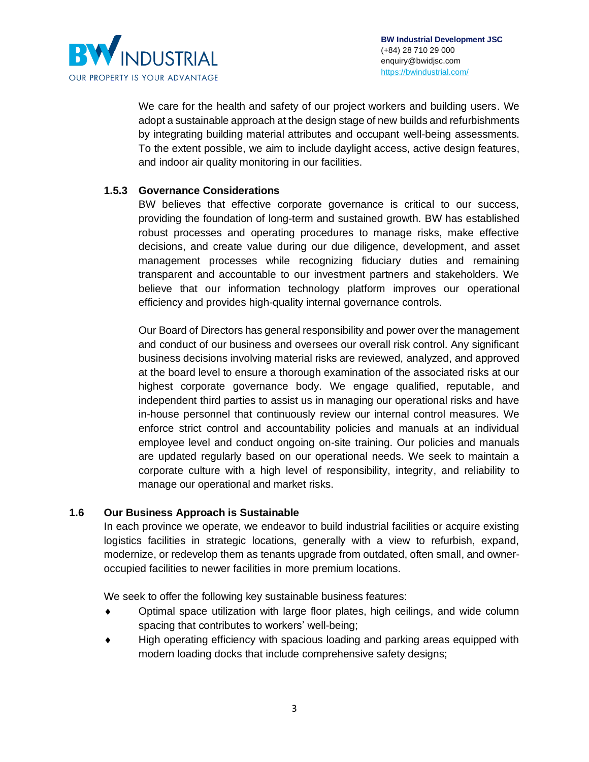

We care for the health and safety of our project workers and building users. We adopt a sustainable approach at the design stage of new builds and refurbishments by integrating building material attributes and occupant well-being assessments. To the extent possible, we aim to include daylight access, active design features, and indoor air quality monitoring in our facilities.

# **1.5.3 Governance Considerations**

BW believes that effective corporate governance is critical to our success, providing the foundation of long-term and sustained growth. BW has established robust processes and operating procedures to manage risks, make effective decisions, and create value during our due diligence, development, and asset management processes while recognizing fiduciary duties and remaining transparent and accountable to our investment partners and stakeholders. We believe that our information technology platform improves our operational efficiency and provides high-quality internal governance controls.

Our Board of Directors has general responsibility and power over the management and conduct of our business and oversees our overall risk control. Any significant business decisions involving material risks are reviewed, analyzed, and approved at the board level to ensure a thorough examination of the associated risks at our highest corporate governance body. We engage qualified, reputable, and independent third parties to assist us in managing our operational risks and have in-house personnel that continuously review our internal control measures. We enforce strict control and accountability policies and manuals at an individual employee level and conduct ongoing on-site training. Our policies and manuals are updated regularly based on our operational needs. We seek to maintain a corporate culture with a high level of responsibility, integrity, and reliability to manage our operational and market risks.

# **1.6 Our Business Approach is Sustainable**

In each province we operate, we endeavor to build industrial facilities or acquire existing logistics facilities in strategic locations, generally with a view to refurbish, expand, modernize, or redevelop them as tenants upgrade from outdated, often small, and owneroccupied facilities to newer facilities in more premium locations.

We seek to offer the following key sustainable business features:

- Optimal space utilization with large floor plates, high ceilings, and wide column spacing that contributes to workers' well-being;
- High operating efficiency with spacious loading and parking areas equipped with modern loading docks that include comprehensive safety designs;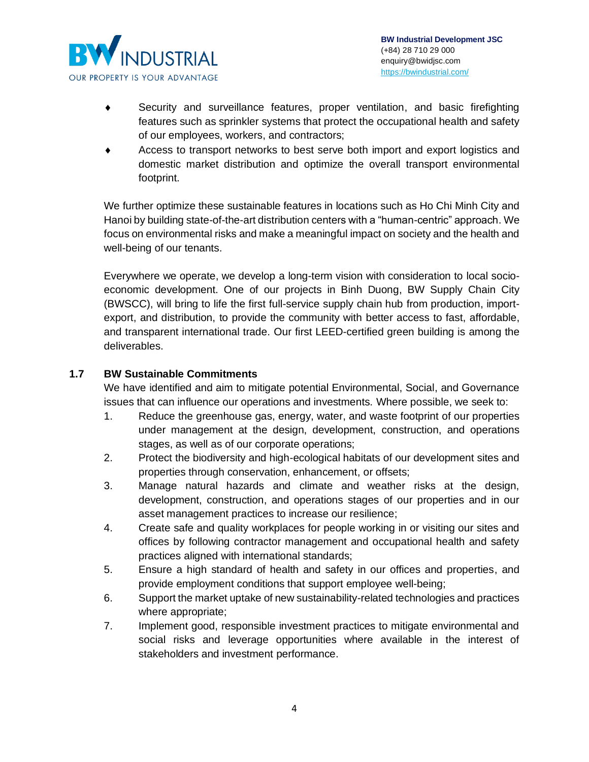

- Security and surveillance features, proper ventilation, and basic firefighting features such as sprinkler systems that protect the occupational health and safety of our employees, workers, and contractors;
- Access to transport networks to best serve both import and export logistics and domestic market distribution and optimize the overall transport environmental footprint.

We further optimize these sustainable features in locations such as Ho Chi Minh City and Hanoi by building state-of-the-art distribution centers with a "human-centric" approach. We focus on environmental risks and make a meaningful impact on society and the health and well-being of our tenants.

Everywhere we operate, we develop a long-term vision with consideration to local socioeconomic development. One of our projects in Binh Duong, BW Supply Chain City (BWSCC), will bring to life the first full-service supply chain hub from production, importexport, and distribution, to provide the community with better access to fast, affordable, and transparent international trade. Our first LEED-certified green building is among the deliverables.

# **1.7 BW Sustainable Commitments**

We have identified and aim to mitigate potential Environmental, Social, and Governance issues that can influence our operations and investments. Where possible, we seek to:

- 1. Reduce the greenhouse gas, energy, water, and waste footprint of our properties under management at the design, development, construction, and operations stages, as well as of our corporate operations;
- 2. Protect the biodiversity and high-ecological habitats of our development sites and properties through conservation, enhancement, or offsets;
- 3. Manage natural hazards and climate and weather risks at the design, development, construction, and operations stages of our properties and in our asset management practices to increase our resilience;
- 4. Create safe and quality workplaces for people working in or visiting our sites and offices by following contractor management and occupational health and safety practices aligned with international standards;
- 5. Ensure a high standard of health and safety in our offices and properties, and provide employment conditions that support employee well-being;
- 6. Support the market uptake of new sustainability-related technologies and practices where appropriate;
- 7. Implement good, responsible investment practices to mitigate environmental and social risks and leverage opportunities where available in the interest of stakeholders and investment performance.